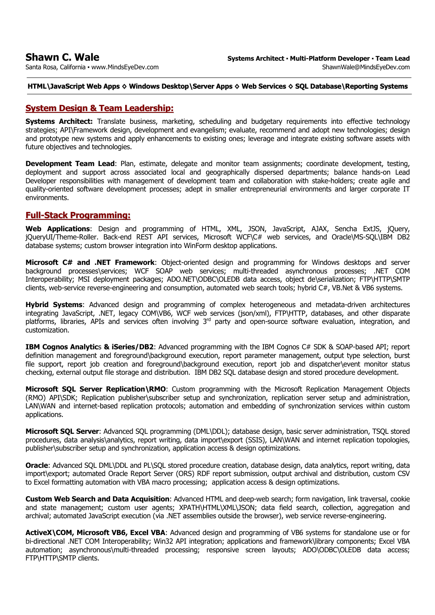Santa Rosa, California **·** www.MindsEyeDev.com

## **HTML\JavaScript Web Apps ◊ Windows Desktop\Server Apps ◊ Web Services ◊ SQL Database\Reporting Systems**

# **System Design & Team Leadership:**

**Systems Architect:** Translate business, marketing, scheduling and budgetary requirements into effective technology strategies; API\Framework design, development and evangelism; evaluate, recommend and adopt new technologies; design and prototype new systems and apply enhancements to existing ones; leverage and integrate existing software assets with future objectives and technologies.

**Development Team Lead**: Plan, estimate, delegate and monitor team assignments; coordinate development, testing, deployment and support across associated local and geographically dispersed departments; balance hands-on Lead Developer responsibilities with management of development team and collaboration with stake-holders; create agile and quality-oriented software development processes; adept in smaller entrepreneurial environments and larger corporate IT environments.

# **Full-Stack Programming:**

**Web Applications**: Design and programming of HTML, XML, JSON, JavaScript, AJAX, Sencha ExtJS, jQuery, jQueryUI/Theme-Roller. Back-end REST API services, Microsoft WCF\C# web services, and Oracle\MS-SQL\IBM DB2 database systems; custom browser integration into WinForm desktop applications.

**Microsoft C# and .NET Framework**: Object-oriented design and programming for Windows desktops and server background processes\services; WCF SOAP web services; multi-threaded asynchronous processes; .NET COM Interoperability; MSI deployment packages; ADO.NET\ODBC\OLEDB data access, object de\serialization; FTP\HTTP\SMTP clients, web-service reverse-engineering and consumption, automated web search tools; hybrid C#, VB.Net & VB6 systems.

**Hybrid Systems**: Advanced design and programming of complex heterogeneous and metadata-driven architectures integrating JavaScript, .NET, legacy COM\VB6, WCF web services (json/xml), FTP\HTTP, databases, and other disparate platforms, libraries, APIs and services often involving 3<sup>rd</sup> party and open-source software evaluation, integration, and customization.

**IBM Cognos Analytic**s **& iSeries/DB2**: Advanced programming with the IBM Cognos C# SDK & SOAP-based API; report definition management and foreground\background execution, report parameter management, output type selection, burst file support, report job creation and foreground\background execution, report job and dispatcher\event monitor status checking, external output file storage and distribution. IBM DB2 SQL database design and stored procedure development.

**Microsoft SQL Server Replication\RMO**: Custom programming with the Microsoft Replication Management Objects (RMO) API\SDK; Replication publisher\subscriber setup and synchronization, replication server setup and administration, LAN\WAN and internet-based replication protocols; automation and embedding of synchronization services within custom applications.

**Microsoft SQL Server**: Advanced SQL programming (DML\DDL); database design, basic server administration, TSQL stored procedures, data analysis\analytics, report writing, data import\export (SSIS), LAN\WAN and internet replication topologies, publisher\subscriber setup and synchronization, application access & design optimizations.

**Oracle**: Advanced SOL DML\DDL and PL\SOL stored procedure creation, database design, data analytics, report writing, data import\export; automated Oracle Report Server (ORS) RDF report submission, output archival and distribution, custom CSV to Excel formatting automation with VBA macro processing; application access & design optimizations.

**Custom Web Search and Data Acquisition**: Advanced HTML and deep-web search; form navigation, link traversal, cookie and state management; custom user agents; XPATH\HTML\XML\JSON; data field search, collection, aggregation and archival; automated JavaScript execution (via .NET assemblies outside the browser), web service reverse-engineering.

**ActiveX\COM, Microsoft VB6, Excel VBA**: Advanced design and programming of VB6 systems for standalone use or for bi-directional .NET COM Interoperability; Win32 API integration; applications and framework\library components; Excel VBA automation; asynchronous\multi-threaded processing; responsive screen layouts; ADO\ODBC\OLEDB data access; FTP\HTTP\SMTP clients.